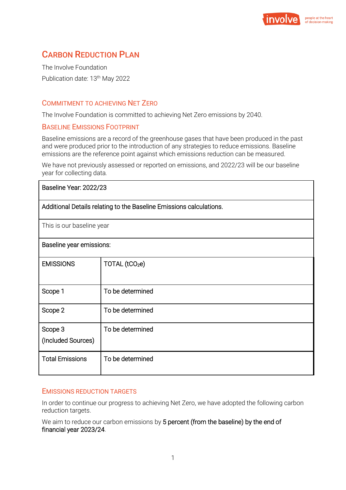

# CARBON REDUCTION PLAN

The Involve Foundation Publication date: 13<sup>th</sup> May 2022

## COMMITMENT TO ACHIEVING NET ZERO

The Involve Foundation is committed to achieving Net Zero emissions by 2040.

### BASELINE EMISSIONS FOOTPRINT

Baseline emissions are a record of the greenhouse gases that have been produced in the past and were produced prior to the introduction of any strategies to reduce emissions. Baseline emissions are the reference point against which emissions reduction can be measured.

We have not previously assessed or reported on emissions, and 2022/23 will be our baseline year for collecting data*.*

| Baseline Year: 2022/23                                              |                            |
|---------------------------------------------------------------------|----------------------------|
| Additional Details relating to the Baseline Emissions calculations. |                            |
| This is our baseline year                                           |                            |
| Baseline year emissions:                                            |                            |
| <b>EMISSIONS</b>                                                    | TOTAL (tCO <sub>2</sub> e) |
| Scope 1                                                             | To be determined           |
| Scope 2                                                             | To be determined           |
| Scope 3<br>(Included Sources)                                       | To be determined           |
| <b>Total Emissions</b>                                              | To be determined           |

## EMISSIONS REDUCTION TARGETS

In order to continue our progress to achieving Net Zero, we have adopted the following carbon reduction targets.

We aim to reduce our carbon emissions by 5 percent (from the baseline) by the end of financial year 2023/24.